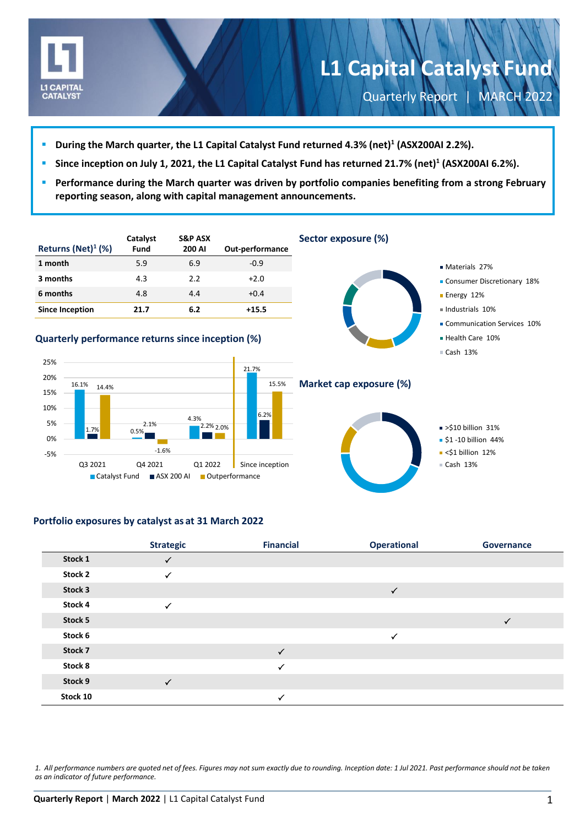

-5%

 $\blacktriangleright$  <\$1 billion 12% Cash 13%

- **During the March quarter, the L1 Capital Catalyst Fund returned 4.3% (net) 1 (ASX200AI 2.2%).**
- **Since inception on July 1, 2021, the L1 Capital Catalyst Fund has returned 21.7% (net) 1 (ASX200AI 6.2%).**
- **Performance during the March quarter was driven by portfolio companies benefiting from a strong February reporting season, along with capital management announcements.**

| Returns (Net) $1$ (%)                             |       | Catalyst<br>Fund | <b>S&amp;P ASX</b><br>200 AI | Out-performance |  |
|---------------------------------------------------|-------|------------------|------------------------------|-----------------|--|
| 1 month                                           |       | 5.9              | 6.9                          | $-0.9$          |  |
| 3 months                                          |       | 4.3              | 2.2                          | $+2.0$          |  |
| 6 months                                          |       | 4.8              | 4.4                          | $+0.4$          |  |
| <b>Since Inception</b>                            |       | 21.7             | 6.2                          | $+15.5$         |  |
|                                                   |       |                  |                              |                 |  |
| Quarterly performance returns since inception (%) |       |                  |                              |                 |  |
|                                                   |       |                  |                              |                 |  |
| 25%                                               |       |                  |                              | 21.7%           |  |
| 20%<br>16.1%                                      | 14.4% |                  |                              | 15.5%           |  |
| 15%                                               |       |                  |                              |                 |  |
| 10%                                               |       |                  |                              | 6.2%            |  |
| 5%<br>1.7%                                        |       | 2.1%<br>0.5%     | 4.3%<br>2.2% 2.0%            |                 |  |
| 0%                                                |       |                  |                              |                 |  |



**Portfolio exposures by catalyst as at 31 March 2022**

|          | <b>Strategic</b> | <b>Financial</b> | <b>Operational</b> | Governance   |
|----------|------------------|------------------|--------------------|--------------|
| Stock 1  | $\checkmark$     |                  |                    |              |
| Stock 2  | $\checkmark$     |                  |                    |              |
| Stock 3  |                  |                  | $\checkmark$       |              |
| Stock 4  | ✓                |                  |                    |              |
| Stock 5  |                  |                  |                    | $\checkmark$ |
| Stock 6  |                  |                  | $\checkmark$       |              |
| Stock 7  |                  | $\checkmark$     |                    |              |
| Stock 8  |                  | $\checkmark$     |                    |              |
| Stock 9  | $\checkmark$     |                  |                    |              |
| Stock 10 |                  | $\checkmark$     |                    |              |

*1. All performance numbers are quoted net of fees. Figures may not sum exactly due to rounding. Inception date: 1 Jul 2021. Past performance should not be taken as an indicator of future performance.*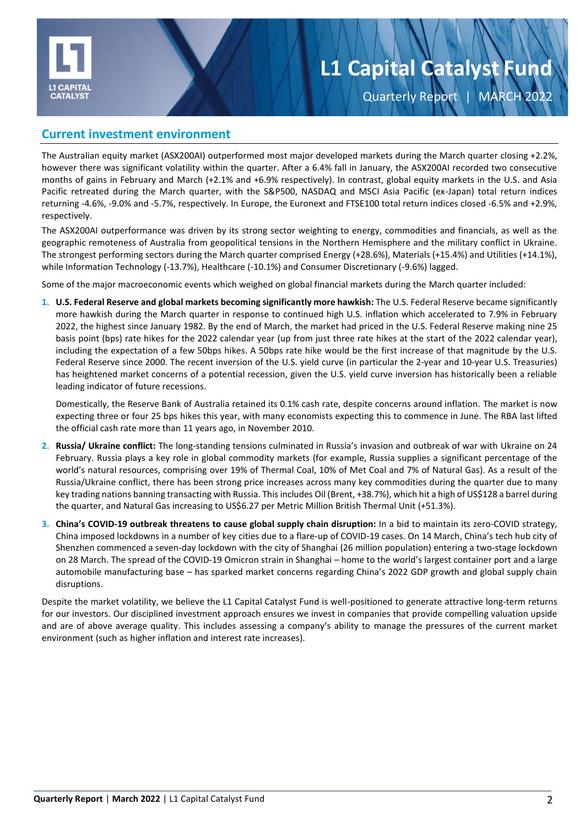

**Quarterly Report** 

### **Current investment environment**

The Australian equity market (ASX200AI) outperformed most major developed markets during the March quarter closing +2.2%, however there was significant volatility within the quarter. After a 6.4% fall in January, the ASX200AI recorded two consecutive months of gains in February and March (+2.1% and +6.9% respectively). In contrast, global equity markets in the U.S. and Asia Pacific retreated during the March quarter, with the S&P500, NASDAQ and MSCI Asia Pacific (ex-Japan) total return indices returning -4.6%, -9.0% and -5.7%, respectively. In Europe, the Euronext and FTSE100 total return indices closed -6.5% and +2.9%, respectively.

The ASX200AI outperformance was driven by its strong sector weighting to energy, commodities and financials, as well as the geographic remoteness of Australia from geopolitical tensions in the Northern Hemisphere and the military conflict in Ukraine. The strongest performing sectors during the March quarter comprised Energy (+28.6%), Materials (+15.4%) and Utilities (+14.1%), while Information Technology (-13.7%), Healthcare (-10.1%) and Consumer Discretionary (-9.6%) lagged.

Some of the major macroeconomic events which weighed on global financial markets during the March quarter included:

**1. U.S. Federal Reserve and global markets becoming significantly more hawkish:** The U.S. Federal Reserve became significantly more hawkish during the March quarter in response to continued high U.S. inflation which accelerated to 7.9% in February 2022, the highest since January 1982. By the end of March, the market had priced in the U.S. Federal Reserve making nine 25 basis point (bps) rate hikes for the 2022 calendar year (up from just three rate hikes at the start of the 2022 calendar year), including the expectation of a few 50bps hikes. A 50bps rate hike would be the first increase of that magnitude by the U.S. Federal Reserve since 2000. The recent inversion of the U.S. yield curve (in particular the 2-year and 10-year U.S. Treasuries) has heightened market concerns of a potential recession, given the U.S. yield curve inversion has historically been a reliable leading indicator of future recessions.

Domestically, the Reserve Bank of Australia retained its 0.1% cash rate, despite concerns around inflation. The market is now expecting three or four 25 bps hikes this year, with many economists expecting this to commence in June. The RBA last lifted the official cash rate more than 11 years ago, in November 2010.

- **2. Russia/ Ukraine conflict:** The long-standing tensions culminated in Russia's invasion and outbreak of war with Ukraine on 24 February. Russia plays a key role in global commodity markets (for example, Russia supplies a significant percentage of the world's natural resources, comprising over 19% of Thermal Coal, 10% of Met Coal and 7% of Natural Gas). As a result of the Russia/Ukraine conflict, there has been strong price increases across many key commodities during the quarter due to many key trading nations banning transacting with Russia. This includes Oil (Brent, +38.7%), which hit a high of US\$128 a barrel during the quarter, and Natural Gas increasing to US\$6.27 per Metric Million British Thermal Unit (+51.3%).
- **3. China's COVID-19 outbreak threatens to cause global supply chain disruption:** In a bid to maintain its zero-COVID strategy, China imposed lockdowns in a number of key cities due to a flare-up of COVID-19 cases. On 14 March, China's tech hub city of Shenzhen commenced a seven-day lockdown with the city of Shanghai (26 million population) entering a two-stage lockdown on 28 March. The spread of the COVID-19 Omicron strain in Shanghai – home to the world's largest container port and a large automobile manufacturing base – has sparked market concerns regarding China's 2022 GDP growth and global supply chain disruptions.

Despite the market volatility, we believe the L1 Capital Catalyst Fund is well-positioned to generate attractive long-term returns for our investors. Our disciplined investment approach ensures we invest in companies that provide compelling valuation upside and are of above average quality. This includes assessing a company's ability to manage the pressures of the current market environment (such as higher inflation and interest rate increases).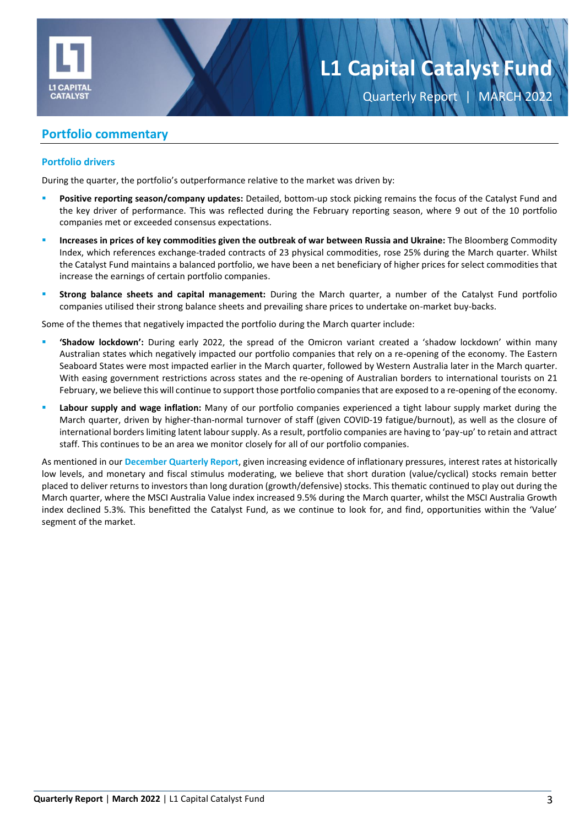

## **Portfolio commentary**

#### **Portfolio drivers**

During the quarter, the portfolio's outperformance relative to the market was driven by:

- Positive reporting season/company updates: Detailed, bottom-up stock picking remains the focus of the Catalyst Fund and the key driver of performance. This was reflected during the February reporting season, where 9 out of the 10 portfolio companies met or exceeded consensus expectations.
- **Increases in prices of key commodities given the outbreak of war between Russia and Ukraine:** The Bloomberg Commodity Index, which references exchange-traded contracts of 23 physical commodities, rose 25% during the March quarter. Whilst the Catalyst Fund maintains a balanced portfolio, we have been a net beneficiary of higher prices for select commodities that increase the earnings of certain portfolio companies.
- **Strong balance sheets and capital management:** During the March quarter, a number of the Catalyst Fund portfolio companies utilised their strong balance sheets and prevailing share prices to undertake on-market buy-backs.

Some of the themes that negatively impacted the portfolio during the March quarter include:

- 'Shadow lockdown': During early 2022, the spread of the Omicron variant created a 'shadow lockdown' within many Australian states which negatively impacted our portfolio companies that rely on a re-opening of the economy. The Eastern Seaboard States were most impacted earlier in the March quarter, followed by Western Australia later in the March quarter. With easing government restrictions across states and the re-opening of Australian borders to international tourists on 21 February, we believe this will continue to support those portfolio companies that are exposed to a re-opening of the economy.
- Labour supply and wage inflation: Many of our portfolio companies experienced a tight labour supply market during the March quarter, driven by higher-than-normal turnover of staff (given COVID-19 fatigue/burnout), as well as the closure of international borders limiting latent labour supply. As a result, portfolio companies are having to 'pay-up' to retain and attract staff. This continues to be an area we monitor closely for all of our portfolio companies.

As mentioned in our **[December Quarterly Report](https://l1.com.au/wp-content/uploads/2022/01/2021-12-L1-Capital-Catalyst-Quarterly-Report.pdf)**, given increasing evidence of inflationary pressures, interest rates at historically low levels, and monetary and fiscal stimulus moderating, we believe that short duration (value/cyclical) stocks remain better placed to deliver returns to investors than long duration (growth/defensive) stocks. This thematic continued to play out during the March quarter, where the MSCI Australia Value index increased 9.5% during the March quarter, whilst the MSCI Australia Growth index declined 5.3%. This benefitted the Catalyst Fund, as we continue to look for, and find, opportunities within the 'Value' segment of the market.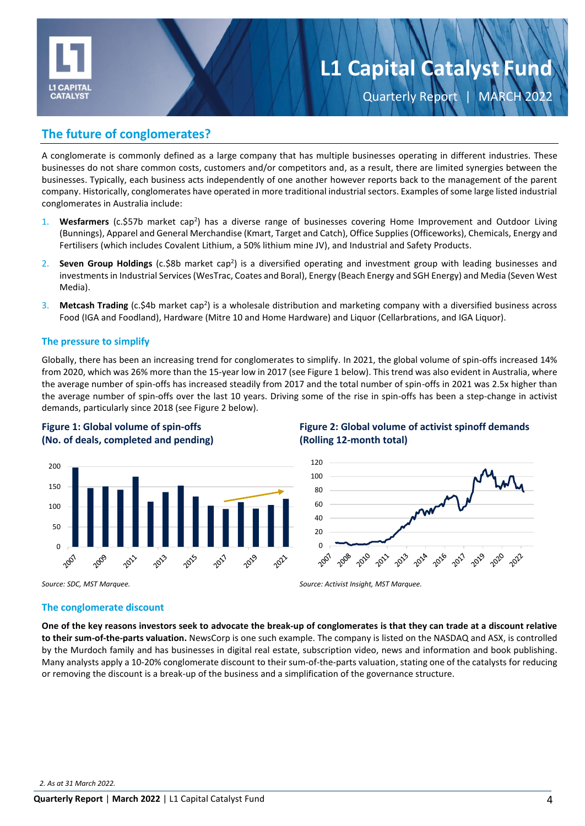

Quarterly Report | MARCH 2022

## **The future of conglomerates?**

A conglomerate is commonly defined as a large company that has multiple businesses operating in different industries. These businesses do not share common costs, customers and/or competitors and, as a result, there are limited synergies between the businesses. Typically, each business acts independently of one another however reports back to the management of the parent company. Historically, conglomerates have operated in more traditional industrial sectors. Examples of some large listed industrial conglomerates in Australia include:

- 1. Wesfarmers (c.\$57b market cap<sup>2</sup>) has a diverse range of businesses covering Home Improvement and Outdoor Living (Bunnings), Apparel and General Merchandise (Kmart, Target and Catch), Office Supplies (Officeworks), Chemicals, Energy and Fertilisers (which includes Covalent Lithium, a 50% lithium mine JV), and Industrial and Safety Products.
- 2. Seven Group Holdings (c.\$8b market cap<sup>2</sup>) is a diversified operating and investment group with leading businesses and investments in Industrial Services(WesTrac, Coates and Boral), Energy (Beach Energy and SGH Energy) and Media (Seven West Media).
- 3. Metcash Trading (c.\$4b market cap<sup>2</sup>) is a wholesale distribution and marketing company with a diversified business across Food (IGA and Foodland), Hardware (Mitre 10 and Home Hardware) and Liquor (Cellarbrations, and IGA Liquor).

#### **The pressure to simplify**

Globally, there has been an increasing trend for conglomerates to simplify. In 2021, the global volume of spin-offs increased 14% from 2020, which was 26% more than the 15-year low in 2017 (see Figure 1 below). This trend was also evident in Australia, where the average number of spin-offs has increased steadily from 2017 and the total number of spin-offs in 2021 was 2.5x higher than the average number of spin-offs over the last 10 years. Driving some of the rise in spin-offs has been a step-change in activist demands, particularly since 2018 (see Figure 2 below).





### **Figure 2: Global volume of activist spinoff demands (Rolling 12-month total)**



*Source: SDC, MST Marquee. Source: Activist Insight, MST Marquee.* 

#### **The conglomerate discount**

**One of the key reasons investors seek to advocate the break-up of conglomerates is that they can trade at a discount relative to their sum-of-the-parts valuation.** NewsCorp is one such example. The company is listed on the NASDAQ and ASX, is controlled by the Murdoch family and has businesses in digital real estate, subscription video, news and information and book publishing. Many analysts apply a 10-20% conglomerate discount to their sum-of-the-parts valuation, stating one of the catalysts for reducing or removing the discount is a break-up of the business and a simplification of the governance structure.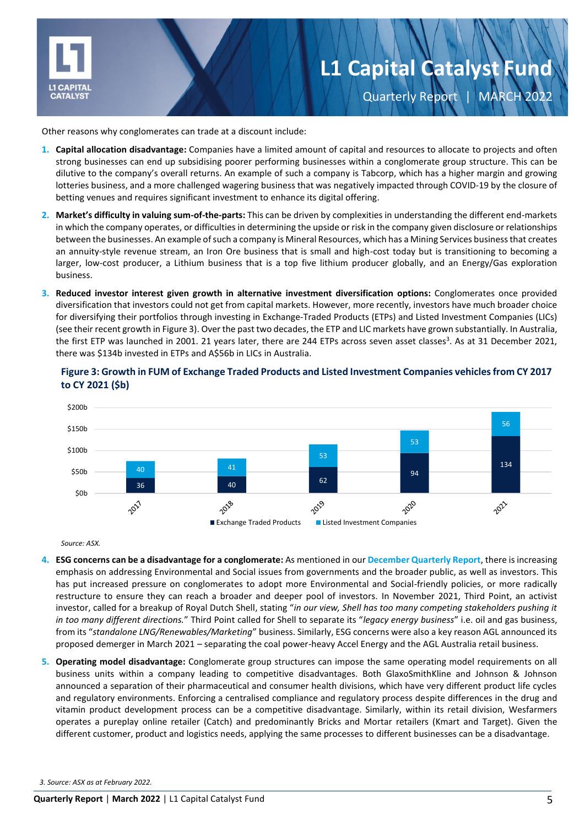

# **L1 Capital Catalyst Fund** Quarterly Report | MARCH 2022

Other reasons why conglomerates can trade at a discount include:

- **1. Capital allocation disadvantage:** Companies have a limited amount of capital and resources to allocate to projects and often strong businesses can end up subsidising poorer performing businesses within a conglomerate group structure. This can be dilutive to the company's overall returns. An example of such a company is Tabcorp, which has a higher margin and growing lotteries business, and a more challenged wagering business that was negatively impacted through COVID-19 by the closure of betting venues and requires significant investment to enhance its digital offering.
- **2. Market's difficulty in valuing sum-of-the-parts:** This can be driven by complexities in understanding the different end-markets in which the company operates, or difficulties in determining the upside or risk in the company given disclosure or relationships between the businesses. An example of such a company is Mineral Resources, which has a Mining Services business that creates an annuity-style revenue stream, an Iron Ore business that is small and high-cost today but is transitioning to becoming a larger, low-cost producer, a Lithium business that is a top five lithium producer globally, and an Energy/Gas exploration business.
- **3. Reduced investor interest given growth in alternative investment diversification options:** Conglomerates once provided diversification that investors could not get from capital markets. However, more recently, investors have much broader choice for diversifying their portfolios through investing in Exchange-Traded Products (ETPs) and Listed Investment Companies (LICs) (see their recent growth in Figure 3). Over the past two decades, the ETP and LIC markets have grown substantially. In Australia, the first ETP was launched in 2001. 21 years later, there are 244 ETPs across seven asset classes<sup>3</sup>. As at 31 December 2021, there was \$134b invested in ETPs and A\$56b in LICs in Australia.





*Source: ASX.* 

- **4. ESG concerns can be a disadvantage for a conglomerate:** As mentioned in our **[December Quarterly Report](https://l1.com.au/wp-content/uploads/2022/01/2021-12-L1-Capital-Catalyst-Quarterly-Report.pdf)**, there is increasing emphasis on addressing Environmental and Social issues from governments and the broader public, as well as investors. This has put increased pressure on conglomerates to adopt more Environmental and Social-friendly policies, or more radically restructure to ensure they can reach a broader and deeper pool of investors. In November 2021, Third Point, an activist investor, called for a breakup of Royal Dutch Shell, stating "*in our view, Shell has too many competing stakeholders pushing it in too many different directions.*" Third Point called for Shell to separate its "*legacy energy business*" i.e. oil and gas business, from its "*standalone LNG/Renewables/Marketing*" business. Similarly, ESG concerns were also a key reason AGL announced its proposed demerger in March 2021 – separating the coal power-heavy Accel Energy and the AGL Australia retail business.
- **5. Operating model disadvantage:** Conglomerate group structures can impose the same operating model requirements on all business units within a company leading to competitive disadvantages. Both GlaxoSmithKline and Johnson & Johnson announced a separation of their pharmaceutical and consumer health divisions, which have very different product life cycles and regulatory environments. Enforcing a centralised compliance and regulatory process despite differences in the drug and vitamin product development process can be a competitive disadvantage. Similarly, within its retail division, Wesfarmers operates a pureplay online retailer (Catch) and predominantly Bricks and Mortar retailers (Kmart and Target). Given the different customer, product and logistics needs, applying the same processes to different businesses can be a disadvantage.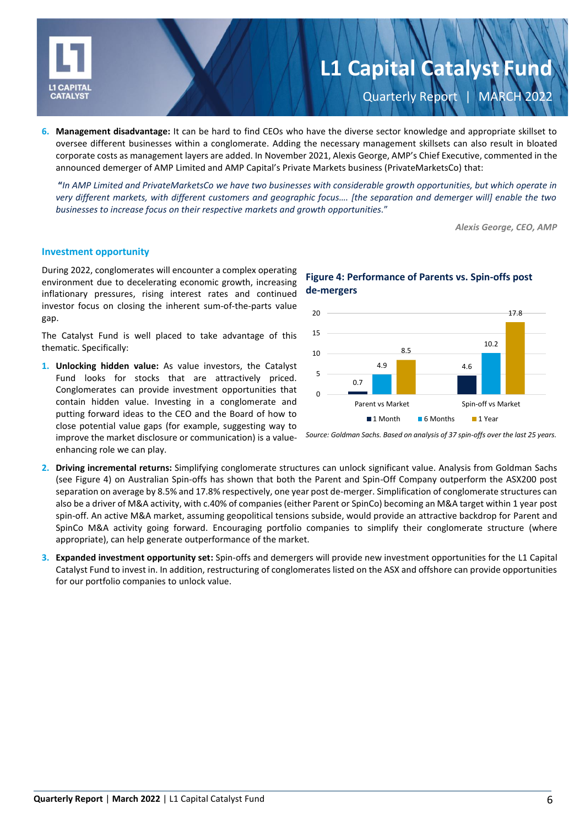

# **L1 Capital Catalyst Fund Quarterly Report**

**6. Management disadvantage:** It can be hard to find CEOs who have the diverse sector knowledge and appropriate skillset to oversee different businesses within a conglomerate. Adding the necessary management skillsets can also result in bloated corporate costs as management layers are added. In November 2021, Alexis George, AMP's Chief Executive, commented in the announced demerger of AMP Limited and AMP Capital's Private Markets business (PrivateMarketsCo) that:

**"***In AMP Limited and PrivateMarketsCo we have two businesses with considerable growth opportunities, but which operate in very different markets, with different customers and geographic focus…. [the separation and demerger will] enable the two businesses to increase focus on their respective markets and growth opportunities.*"

*Alexis George, CEO, AMP*

#### **Investment opportunity**

During 2022, conglomerates will encounter a complex operating environment due to decelerating economic growth, increasing inflationary pressures, rising interest rates and continued investor focus on closing the inherent sum-of-the-parts value gap.

The Catalyst Fund is well placed to take advantage of this thematic. Specifically:

**1. Unlocking hidden value:** As value investors, the Catalyst Fund looks for stocks that are attractively priced. Conglomerates can provide investment opportunities that contain hidden value. Investing in a conglomerate and putting forward ideas to the CEO and the Board of how to close potential value gaps (for example, suggesting way to improve the market disclosure or communication) is a valueenhancing role we can play.

#### 0.7 4.9 4.6 10.2 8.5 17.8  $\Omega$ 5 10 15 20 Parent vs Market Spin-off vs Market **1 Month** 6 Months 1 Year

### **Figure 4: Performance of Parents vs. Spin-offs post de-mergers**



- **2. Driving incremental returns:** Simplifying conglomerate structures can unlock significant value. Analysis from Goldman Sachs (see Figure 4) on Australian Spin-offs has shown that both the Parent and Spin-Off Company outperform the ASX200 post separation on average by 8.5% and 17.8% respectively, one year post de-merger. Simplification of conglomerate structures can also be a driver of M&A activity, with c.40% of companies (either Parent or SpinCo) becoming an M&A target within 1 year post spin-off. An active M&A market, assuming geopolitical tensions subside, would provide an attractive backdrop for Parent and SpinCo M&A activity going forward. Encouraging portfolio companies to simplify their conglomerate structure (where appropriate), can help generate outperformance of the market.
- **3. Expanded investment opportunity set:** Spin-offs and demergers will provide new investment opportunities for the L1 Capital Catalyst Fund to invest in. In addition, restructuring of conglomerates listed on the ASX and offshore can provide opportunities for our portfolio companies to unlock value.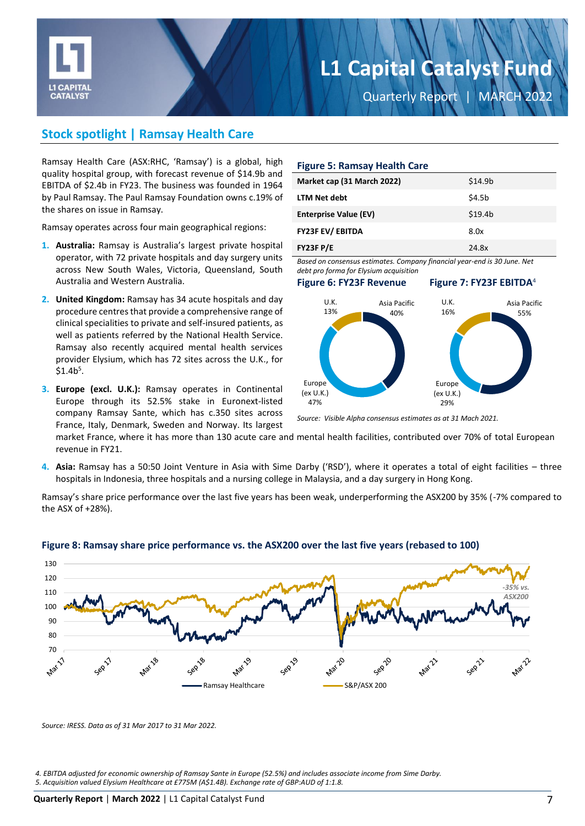

Quarterly Report | MARCH 2022

# **Stock spotlight | Ramsay Health Care**

Ramsay Health Care (ASX:RHC, 'Ramsay') is a global, high quality hospital group, with forecast revenue of \$14.9b and EBITDA of \$2.4b in FY23. The business was founded in 1964 by Paul Ramsay. The Paul Ramsay Foundation owns c.19% of the shares on issue in Ramsay.

Ramsay operates across four main geographical regions:

- **1. Australia:** Ramsay is Australia's largest private hospital operator, with 72 private hospitals and day surgery units across New South Wales, Victoria, Queensland, South Australia and Western Australia.
- **2. United Kingdom:** Ramsay has 34 acute hospitals and day procedure centres that provide a comprehensive range of clinical specialities to private and self-insured patients, as well as patients referred by the National Health Service. Ramsay also recently acquired mental health services provider Elysium, which has 72 sites across the U.K., for  $$1.4b<sup>5</sup>$ .
- **3. Europe (excl. U.K.):** Ramsay operates in Continental Europe through its 52.5% stake in Euronext-listed company Ramsay Sante, which has c.350 sites across France, Italy, Denmark, Sweden and Norway. Its largest

#### **Figure 5: Ramsay Health Care**

| Market cap (31 March 2022)   | \$14.9 <sub>b</sub> |
|------------------------------|---------------------|
| <b>LTM Net debt</b>          | \$4.5b              |
| <b>Enterprise Value (EV)</b> | \$19.4 <sub>b</sub> |
| <b>FY23F EV/ EBITDA</b>      | 8.0x                |
| FY23F P/E                    | 24.8x               |

*Based on consensus estimates. Company financial year-end is 30 June. Net debt pro forma for Elysium acquisition*

#### **Figure 6: FY23F Revenue Figure 7: FY23F EBITDA**<sup>4</sup>



*Source: Visible Alpha consensus estimates as at 31 Mach 2021.* 

market France, where it has more than 130 acute care and mental health facilities, contributed over 70% of total European revenue in FY21.

**4. Asia:** Ramsay has a 50:50 Joint Venture in Asia with Sime Darby ('RSD'), where it operates a total of eight facilities – three hospitals in Indonesia, three hospitals and a nursing college in Malaysia, and a day surgery in Hong Kong.

Ramsay's share price performance over the last five years has been weak, underperforming the ASX200 by 35% (-7% compared to the ASX of +28%).



#### **Figure 8: Ramsay share price performance vs. the ASX200 over the last five years (rebased to 100)**

*Source: IRESS. Data as of 31 Mar 2017 to 31 Mar 2022.*

*4. EBITDA adjusted for economic ownership of Ramsay Sante in Europe (52.5%) and includes associate income from Sime Darby.* 

*<sup>5.</sup> Acquisition valued Elysium Healthcare at £775M (A\$1.4B). Exchange rate of GBP:AUD of 1:1.8.*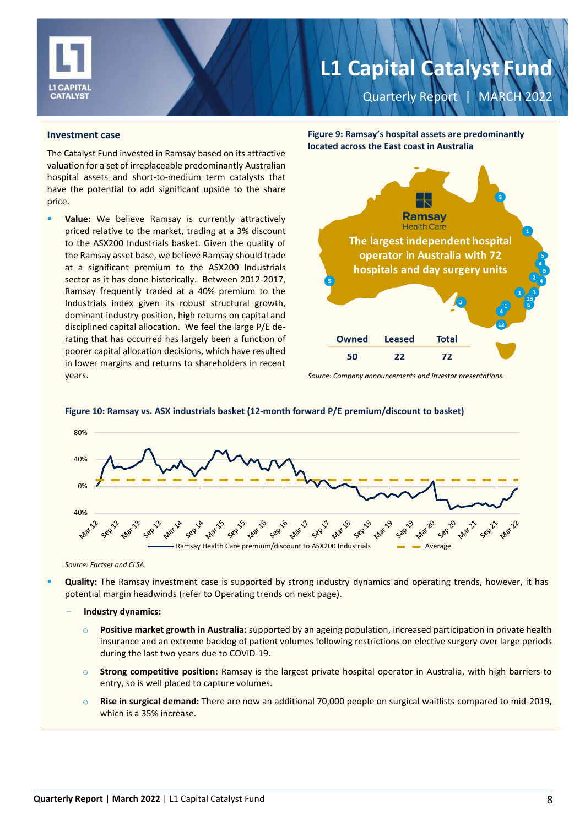

Quarterly Report | MARCH 2022

#### **Investment case**

The Catalyst Fund invested in Ramsay based on its attractive valuation for a set of irreplaceable predominantly Australian hospital assets and short-to-medium term catalysts that have the potential to add significant upside to the share price.

Value: We believe Ramsay is currently attractively priced relative to the market, trading at a 3% discount to the ASX200 Industrials basket. Given the quality of the Ramsay asset base, we believe Ramsay should trade at a significant premium to the ASX200 Industrials sector as it has done historically. Between 2012-2017, Ramsay frequently traded at a 40% premium to the Industrials index given its robust structural growth, dominant industry position, high returns on capital and disciplined capital allocation. We feel the large P/E derating that has occurred has largely been a function of poorer capital allocation decisions, which have resulted in lower margins and returns to shareholders in recent years.

**Figure 9: Ramsay's hospital assets are predominantly located across the East coast in Australia**



*Source: Company announcements and investor presentations.* 



**Figure 10: Ramsay vs. ASX industrials basket (12-month forward P/E premium/discount to basket)**

*Source: Factset and CLSA.*

- Quality: The Ramsay investment case is supported by strong industry dynamics and operating trends, however, it has potential margin headwinds (refer to Operating trends on next page).
	- **Industry dynamics:**
		- Positive market growth in Australia: supported by an ageing population, increased participation in private health insurance and an extreme backlog of patient volumes following restrictions on elective surgery over large periods during the last two years due to COVID-19.
		- o **Strong competitive position:** Ramsay is the largest private hospital operator in Australia, with high barriers to entry, so is well placed to capture volumes.
		- o **Rise in surgical demand:** There are now an additional 70,000 people on surgical waitlists compared to mid-2019, which is a 35% increase.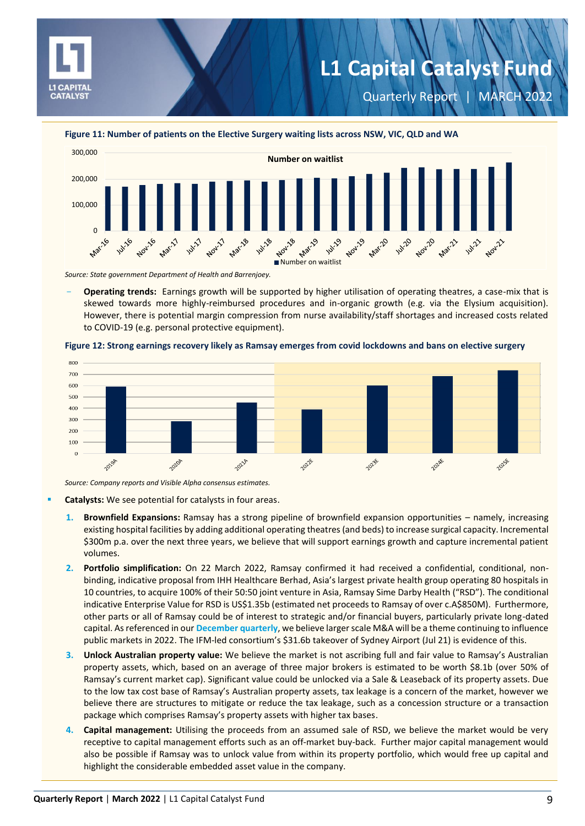

Quarterly Report | MARCH 2022





*Source: State government Department of Health and Barrenjoey.*

- **Operating trends:** Earnings growth will be supported by higher utilisation of operating theatres, a case-mix that is skewed towards more highly-reimbursed procedures and in-organic growth (e.g. via the Elysium acquisition). However, there is potential margin compression from nurse availability/staff shortages and increased costs related to COVID-19 (e.g. personal protective equipment).





*Source: Company reports and Visible Alpha consensus estimates.*

- **Catalysts:** We see potential for catalysts in four areas.
	- **1. Brownfield Expansions:** Ramsay has a strong pipeline of brownfield expansion opportunities namely, increasing existing hospital facilities by adding additional operating theatres (and beds) to increase surgical capacity. Incremental \$300m p.a. over the next three years, we believe that will support earnings growth and capture incremental patient volumes.
	- **2. Portfolio simplification:** On 22 March 2022, Ramsay confirmed it had received a confidential, conditional, nonbinding, indicative proposal from IHH Healthcare Berhad, Asia's largest private health group operating 80 hospitals in 10 countries, to acquire 100% of their 50:50 joint venture in Asia, Ramsay Sime Darby Health ("RSD"). The conditional indicative Enterprise Value for RSD is US\$1.35b (estimated net proceeds to Ramsay of over c.A\$850M). Furthermore, other parts or all of Ramsay could be of interest to strategic and/or financial buyers, particularly private long-dated capital. As referenced in our **[December quarterly](https://l1.com.au/wp-content/uploads/2022/01/2021-12-L1-Capital-Catalyst-Quarterly-Report.pdf)**, we believe larger scale M&A will be a theme continuing to influence public markets in 2022. The IFM-led consortium's \$31.6b takeover of Sydney Airport (Jul 21) is evidence of this.
	- **3. Unlock Australian property value:** We believe the market is not ascribing full and fair value to Ramsay's Australian property assets, which, based on an average of three major brokers is estimated to be worth \$8.1b (over 50% of Ramsay's current market cap). Significant value could be unlocked via a Sale & Leaseback of its property assets. Due to the low tax cost base of Ramsay's Australian property assets, tax leakage is a concern of the market, however we believe there are structures to mitigate or reduce the tax leakage, such as a concession structure or a transaction package which comprises Ramsay's property assets with higher tax bases.
	- **4. Capital management:** Utilising the proceeds from an assumed sale of RSD, we believe the market would be very receptive to capital management efforts such as an off-market buy-back. Further major capital management would also be possible if Ramsay was to unlock value from within its property portfolio, which would free up capital and highlight the considerable embedded asset value in the company.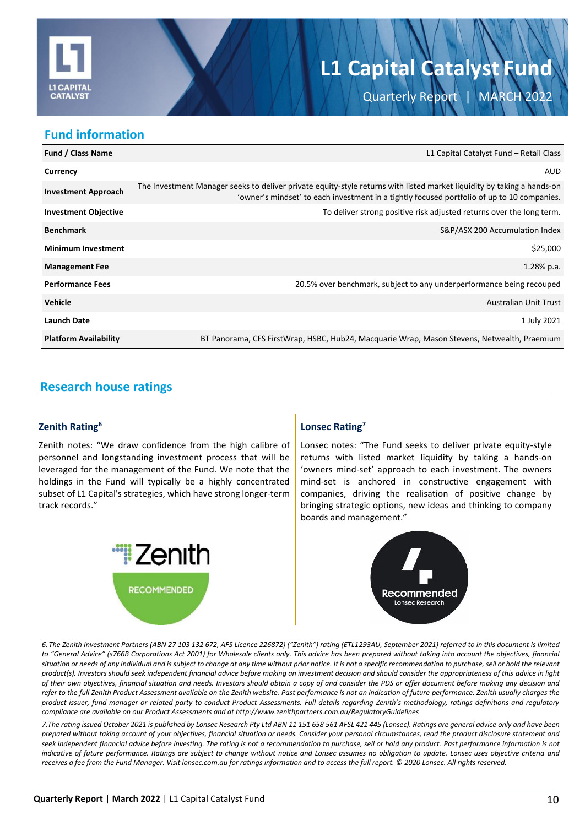

Quarterly Report | MARCH 2022

### **Fund information**

| <b>Fund / Class Name</b>     | L1 Capital Catalyst Fund - Retail Class                                                                                                                                                                              |
|------------------------------|----------------------------------------------------------------------------------------------------------------------------------------------------------------------------------------------------------------------|
| Currency                     | AUD                                                                                                                                                                                                                  |
| <b>Investment Approach</b>   | The Investment Manager seeks to deliver private equity-style returns with listed market liquidity by taking a hands-on<br>'owner's mindset' to each investment in a tightly focused portfolio of up to 10 companies. |
| <b>Investment Objective</b>  | To deliver strong positive risk adjusted returns over the long term.                                                                                                                                                 |
| <b>Benchmark</b>             | S&P/ASX 200 Accumulation Index                                                                                                                                                                                       |
| <b>Minimum Investment</b>    | \$25,000                                                                                                                                                                                                             |
| <b>Management Fee</b>        | $1.28%$ p.a.                                                                                                                                                                                                         |
| <b>Performance Fees</b>      | 20.5% over benchmark, subject to any underperformance being recouped                                                                                                                                                 |
| <b>Vehicle</b>               | <b>Australian Unit Trust</b>                                                                                                                                                                                         |
| <b>Launch Date</b>           | 1 July 2021                                                                                                                                                                                                          |
| <b>Platform Availability</b> | BT Panorama, CFS FirstWrap, HSBC, Hub24, Macquarie Wrap, Mason Stevens, Netwealth, Praemium                                                                                                                          |

# **Research house ratings**

### **Zenith Rating<sup>6</sup>**

Zenith notes: "We draw confidence from the high calibre of personnel and longstanding investment process that will be leveraged for the management of the Fund. We note that the holdings in the Fund will typically be a highly concentrated subset of L1 Capital's strategies, which have strong longer-term track records."



### **Lonsec Rating<sup>7</sup>**

Lonsec notes: "The Fund seeks to deliver private equity-style returns with listed market liquidity by taking a hands-on 'owners mind-set' approach to each investment. The owners mind-set is anchored in constructive engagement with companies, driving the realisation of positive change by bringing strategic options, new ideas and thinking to company boards and management."



*6. The Zenith Investment Partners (ABN 27 103 132 672, AFS Licence 226872) ("Zenith") rating (ETL1293AU, September 2021) referred to in this document is limited*  to "General Advice" (s766B Corporations Act 2001) for Wholesale clients only. This advice has been prepared without taking into account the objectives, financial situation or needs of any individual and is subject to change at any time without prior notice. It is not a specific recommendation to purchase, sell or hold the relevant *product(s). Investors should seek independent financial advice before making an investment decision and should consider the appropriateness of this advice in light of their own objectives, financial situation and needs. Investors should obtain a copy of and consider the PDS or offer document before making any decision and refer to the full Zenith Product Assessment available on the Zenith website. Past performance is not an indication of future performance. Zenith usually charges the product issuer, fund manager or related party to conduct Product Assessments. Full details regarding Zenith's methodology, ratings definitions and regulatory compliance are available on our Product Assessments and at http://www.zenithpartners.com.au/RegulatoryGuidelines*

*7.The rating issued October 2021 is published by Lonsec Research Pty Ltd ABN 11 151 658 561 AFSL 421 445 (Lonsec). Ratings are general advice only and have been prepared without taking account of your objectives, financial situation or needs. Consider your personal circumstances, read the product disclosure statement and seek independent financial advice before investing. The rating is not a recommendation to purchase, sell or hold any product. Past performance information is not indicative of future performance. Ratings are subject to change without notice and Lonsec assumes no obligation to update. Lonsec uses objective criteria and receives a fee from the Fund Manager. Visit lonsec.com.au for ratings information and to access the full report. © 2020 Lonsec. All rights reserved.*